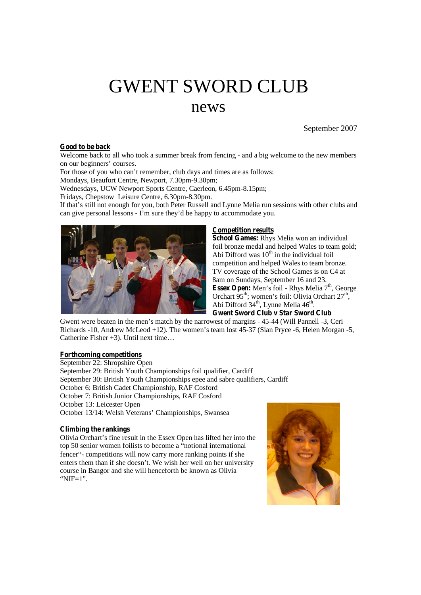# GWENT SWORD CLUB news

September 2007

## **Good to be back**

Welcome back to all who took a summer break from fencing - and a big welcome to the new members on our beginners' courses.

For those of you who can't remember, club days and times are as follows:

Mondays, Beaufort Centre, Newport, 7.30pm-9.30pm;

Wednesdays, UCW Newport Sports Centre, Caerleon, 6.45pm-8.15pm;

Fridays, Chepstow Leisure Centre, 6.30pm-8.30pm.

If that's still not enough for you, both Peter Russell and Lynne Melia run sessions with other clubs and can give personal lessons - I'm sure they'd be happy to accommodate you.



#### **Competition results**

**School Games:** Rhys Melia won an individual foil bronze medal and helped Wales to team gold; Abi Difford was 10<sup>th</sup> in the individual foil competition and helped Wales to team bronze. TV coverage of the School Games is on C4 at 8am on Sundays, September 16 and 23. Essex Open: Men's foil - Rhys Melia 7<sup>th</sup>, George Orchart 95<sup>th</sup>; women's foil: Olivia Orchart 27<sup>th</sup>, Abi Difford 34<sup>th</sup>, Lynne Melia 46<sup>th</sup>. **Gwent Sword Club v Star Sword Club**

Gwent were beaten in the men's match by the narrowest of margins - 45-44 (Will Pannell -3, Ceri Richards -10, Andrew McLeod +12). The women's team lost 45-37 (Sian Pryce -6, Helen Morgan -5, Catherine Fisher +3). Until next time…

#### **Forthcoming competitions**

September 22: Shropshire Open September 29: British Youth Championships foil qualifier, Cardiff September 30: British Youth Championships epee and sabre qualifiers, Cardiff October 6: British Cadet Championship, RAF Cosford October 7: British Junior Championships, RAF Cosford October 13: Leicester Open October 13/14: Welsh Veterans' Championships, Swansea

### **Climbing the rankings**

Olivia Orchart's fine result in the Essex Open has lifted her into the top 50 senior women foilists to become a "notional international fencer"- competitions will now carry more ranking points if she enters them than if she doesn't. We wish her well on her university course in Bangor and she will henceforth be known as Olivia "NIF=1".